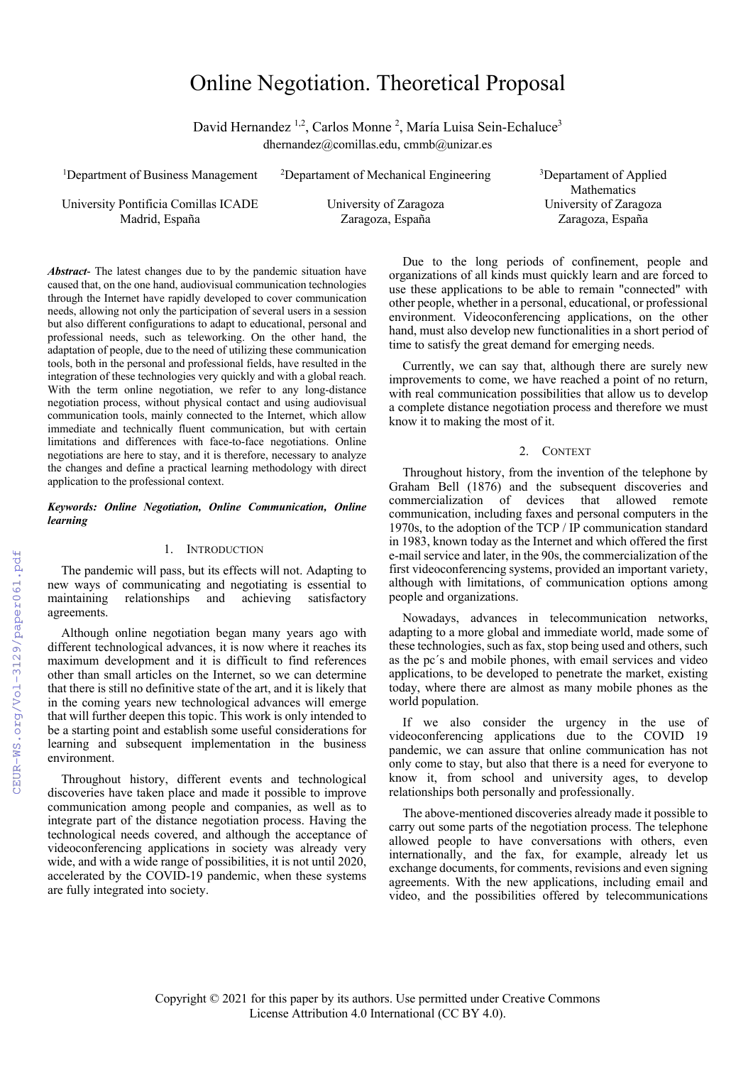# Online Negotiation. Theoretical Proposal

David Hernandez <sup>1,2</sup>, Carlos Monne<sup>2</sup>, María Luisa Sein-Echaluce<sup>3</sup> dhernandez@comillas.edu, cmmb@unizar.es

| <sup>1</sup> Department of Business Management | <sup>2</sup> Departament of Mechanical Engineering | <sup>3</sup> Departament of Applied |
|------------------------------------------------|----------------------------------------------------|-------------------------------------|
|                                                |                                                    | <b>Mathematics</b>                  |
| University Pontificia Comillas ICADE           | University of Zaragoza                             | University of Zaragoza              |
| Madrid, España                                 | Zaragoza, España                                   | Zaragoza, España                    |
|                                                |                                                    |                                     |

*Abstract*- The latest changes due to by the pandemic situation have caused that, on the one hand, audiovisual communication technologies through the Internet have rapidly developed to cover communication needs, allowing not only the participation of several users in a session but also different configurations to adapt to educational, personal and professional needs, such as teleworking. On the other hand, the adaptation of people, due to the need of utilizing these communication tools, both in the personal and professional fields, have resulted in the integration of these technologies very quickly and with a global reach. With the term online negotiation, we refer to any long-distance negotiation process, without physical contact and using audiovisual communication tools, mainly connected to the Internet, which allow immediate and technically fluent communication, but with certain limitations and differences with face-to-face negotiations. Online negotiations are here to stay, and it is therefore, necessary to analyze the changes and define a practical learning methodology with direct application to the professional context.

# *Keywords: Online Negotiation, Online Communication, Online learning*

# 1. INTRODUCTION

The pandemic will pass, but its effects will not. Adapting to new ways of communicating and negotiating is essential to maintaining relationships and achieving satisfactory agreements.

Although online negotiation began many years ago with different technological advances, it is now where it reaches its maximum development and it is difficult to find references other than small articles on the Internet, so we can determine that there is still no definitive state of the art, and it is likely that in the coming years new technological advances will emerge that will further deepen this topic. This work is only intended to be a starting point and establish some useful considerations for learning and subsequent implementation in the business environment.

Throughout history, different events and technological discoveries have taken place and made it possible to improve communication among people and companies, as well as to integrate part of the distance negotiation process. Having the technological needs covered, and although the acceptance of videoconferencing applications in society was already very wide, and with a wide range of possibilities, it is not until 2020, accelerated by the COVID-19 pandemic, when these systems are fully integrated into society.

Due to the long periods of confinement, people and organizations of all kinds must quickly learn and are forced to use these applications to be able to remain "connected" with other people, whether in a personal, educational, or professional environment. Videoconferencing applications, on the other hand, must also develop new functionalities in a short period of time to satisfy the great demand for emerging needs.

Currently, we can say that, although there are surely new improvements to come, we have reached a point of no return, with real communication possibilities that allow us to develop a complete distance negotiation process and therefore we must know it to making the most of it.

## 2. CONTEXT

Throughout history, from the invention of the telephone by Graham Bell (1876) and the subsequent discoveries and commercialization of devices that allowed remote communication, including faxes and personal computers in the 1970s, to the adoption of the TCP / IP communication standard in 1983, known today as the Internet and which offered the first e-mail service and later, in the 90s, the commercialization of the first videoconferencing systems, provided an important variety, although with limitations, of communication options among people and organizations.

Nowadays, advances in telecommunication networks, adapting to a more global and immediate world, made some of these technologies, such as fax, stop being used and others, such as the pc´s and mobile phones, with email services and video applications, to be developed to penetrate the market, existing today, where there are almost as many mobile phones as the world population.

If we also consider the urgency in the use of videoconferencing applications due to the COVID 19 pandemic, we can assure that online communication has not only come to stay, but also that there is a need for everyone to know it, from school and university ages, to develop relationships both personally and professionally.

The above-mentioned discoveries already made it possible to carry out some parts of the negotiation process. The telephone allowed people to have conversations with others, even internationally, and the fax, for example, already let us exchange documents, for comments, revisions and even signing agreements. With the new applications, including email and video, and the possibilities offered by telecommunications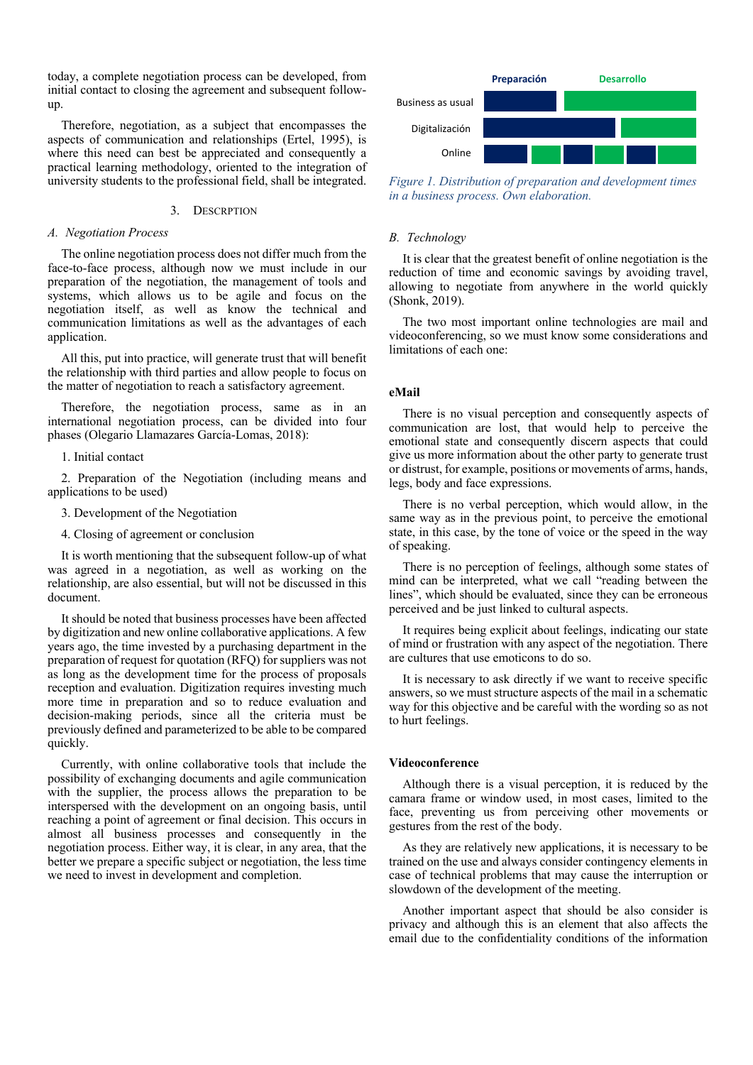today, a complete negotiation process can be developed, from initial contact to closing the agreement and subsequent followup.

Therefore, negotiation, as a subject that encompasses the aspects of communication and relationships (Ertel, 1995), is where this need can best be appreciated and consequently a practical learning methodology, oriented to the integration of university students to the professional field, shall be integrated.

# 3. DESCRPTION

#### *A. Negotiation Process*

The online negotiation process does not differ much from the face-to-face process, although now we must include in our preparation of the negotiation, the management of tools and systems, which allows us to be agile and focus on the negotiation itself, as well as know the technical and communication limitations as well as the advantages of each application.

All this, put into practice, will generate trust that will benefit the relationship with third parties and allow people to focus on the matter of negotiation to reach a satisfactory agreement.

Therefore, the negotiation process, same as in an international negotiation process, can be divided into four phases (Olegario Llamazares García-Lomas, 2018):

#### 1. Initial contact

2. Preparation of the Negotiation (including means and applications to be used)

3. Development of the Negotiation

4. Closing of agreement or conclusion

It is worth mentioning that the subsequent follow-up of what was agreed in a negotiation, as well as working on the relationship, are also essential, but will not be discussed in this document.

It should be noted that business processes have been affected by digitization and new online collaborative applications. A few years ago, the time invested by a purchasing department in the preparation of request for quotation (RFQ) for suppliers was not as long as the development time for the process of proposals reception and evaluation. Digitization requires investing much more time in preparation and so to reduce evaluation and decision-making periods, since all the criteria must be previously defined and parameterized to be able to be compared quickly.

Currently, with online collaborative tools that include the possibility of exchanging documents and agile communication with the supplier, the process allows the preparation to be interspersed with the development on an ongoing basis, until reaching a point of agreement or final decision. This occurs in almost all business processes and consequently in the negotiation process. Either way, it is clear, in any area, that the better we prepare a specific subject or negotiation, the less time we need to invest in development and completion.



*Figure 1. Distribution of preparation and development times in a business process. Own elaboration.*

# *B. Technology*

It is clear that the greatest benefit of online negotiation is the reduction of time and economic savings by avoiding travel, allowing to negotiate from anywhere in the world quickly (Shonk, 2019).

The two most important online technologies are mail and videoconferencing, so we must know some considerations and limitations of each one:

#### **eMail**

There is no visual perception and consequently aspects of communication are lost, that would help to perceive the emotional state and consequently discern aspects that could give us more information about the other party to generate trust or distrust, for example, positions or movements of arms, hands, legs, body and face expressions.

There is no verbal perception, which would allow, in the same way as in the previous point, to perceive the emotional state, in this case, by the tone of voice or the speed in the way of speaking.

There is no perception of feelings, although some states of mind can be interpreted, what we call "reading between the lines", which should be evaluated, since they can be erroneous perceived and be just linked to cultural aspects.

It requires being explicit about feelings, indicating our state of mind or frustration with any aspect of the negotiation. There are cultures that use emoticons to do so.

It is necessary to ask directly if we want to receive specific answers, so we must structure aspects of the mail in a schematic way for this objective and be careful with the wording so as not to hurt feelings.

#### **Videoconference**

Although there is a visual perception, it is reduced by the camara frame or window used, in most cases, limited to the face, preventing us from perceiving other movements or gestures from the rest of the body.

As they are relatively new applications, it is necessary to be trained on the use and always consider contingency elements in case of technical problems that may cause the interruption or slowdown of the development of the meeting.

Another important aspect that should be also consider is privacy and although this is an element that also affects the email due to the confidentiality conditions of the information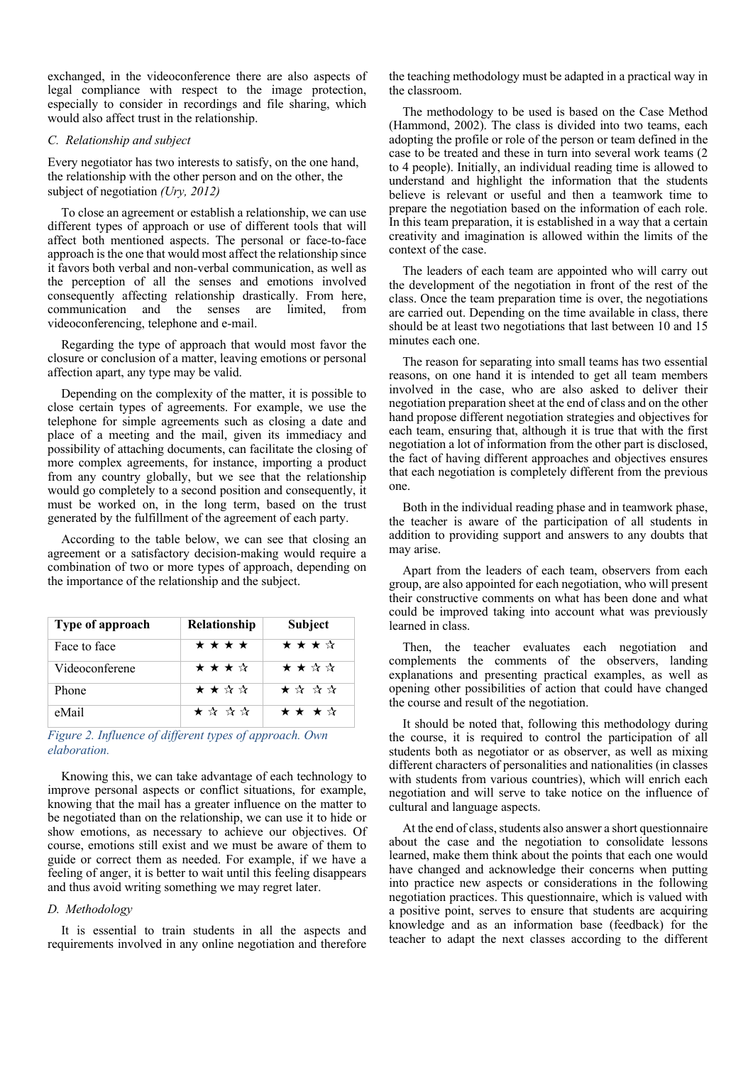exchanged, in the videoconference there are also aspects of legal compliance with respect to the image protection, especially to consider in recordings and file sharing, which would also affect trust in the relationship.

# *C. Relationship and subject*

Every negotiator has two interests to satisfy, on the one hand, the relationship with the other person and on the other, the subject of negotiation *(Ury, 2012)*

To close an agreement or establish a relationship, we can use different types of approach or use of different tools that will affect both mentioned aspects. The personal or face-to-face approach is the one that would most affect the relationship since it favors both verbal and non-verbal communication, as well as the perception of all the senses and emotions involved consequently affecting relationship drastically. From here, communication and the senses are limited, from videoconferencing, telephone and e-mail.

Regarding the type of approach that would most favor the closure or conclusion of a matter, leaving emotions or personal affection apart, any type may be valid.

Depending on the complexity of the matter, it is possible to close certain types of agreements. For example, we use the telephone for simple agreements such as closing a date and place of a meeting and the mail, given its immediacy and possibility of attaching documents, can facilitate the closing of more complex agreements, for instance, importing a product from any country globally, but we see that the relationship would go completely to a second position and consequently, it must be worked on, in the long term, based on the trust generated by the fulfillment of the agreement of each party.

According to the table below, we can see that closing an agreement or a satisfactory decision-making would require a combination of two or more types of approach, depending on the importance of the relationship and the subject.

| Type of approach | Relationship | Subject |
|------------------|--------------|---------|
| Face to face     | * * * *      | ★★★☆    |
| Videoconferene   | ★★★☆         | ★ ★ ☆ ☆ |
| Phone            | ★★☆☆         | ★ ☆ ☆ ☆ |
| eMail            | ★☆☆☆         | ★ ★ ★ ☆ |

*Figure 2. Influence of different types of approach. Own elaboration.*

Knowing this, we can take advantage of each technology to improve personal aspects or conflict situations, for example, knowing that the mail has a greater influence on the matter to be negotiated than on the relationship, we can use it to hide or show emotions, as necessary to achieve our objectives. Of course, emotions still exist and we must be aware of them to guide or correct them as needed. For example, if we have a feeling of anger, it is better to wait until this feeling disappears and thus avoid writing something we may regret later.

# *D. Methodology*

It is essential to train students in all the aspects and requirements involved in any online negotiation and therefore the teaching methodology must be adapted in a practical way in the classroom.

The methodology to be used is based on the Case Method (Hammond, 2002). The class is divided into two teams, each adopting the profile or role of the person or team defined in the case to be treated and these in turn into several work teams (2 to 4 people). Initially, an individual reading time is allowed to understand and highlight the information that the students believe is relevant or useful and then a teamwork time to prepare the negotiation based on the information of each role. In this team preparation, it is established in a way that a certain creativity and imagination is allowed within the limits of the context of the case.

The leaders of each team are appointed who will carry out the development of the negotiation in front of the rest of the class. Once the team preparation time is over, the negotiations are carried out. Depending on the time available in class, there should be at least two negotiations that last between 10 and 15 minutes each one.

The reason for separating into small teams has two essential reasons, on one hand it is intended to get all team members involved in the case, who are also asked to deliver their negotiation preparation sheet at the end of class and on the other hand propose different negotiation strategies and objectives for each team, ensuring that, although it is true that with the first negotiation a lot of information from the other part is disclosed, the fact of having different approaches and objectives ensures that each negotiation is completely different from the previous one.

Both in the individual reading phase and in teamwork phase, the teacher is aware of the participation of all students in addition to providing support and answers to any doubts that may arise.

Apart from the leaders of each team, observers from each group, are also appointed for each negotiation, who will present their constructive comments on what has been done and what could be improved taking into account what was previously learned in class.

Then, the teacher evaluates each negotiation and complements the comments of the observers, landing explanations and presenting practical examples, as well as opening other possibilities of action that could have changed the course and result of the negotiation.

It should be noted that, following this methodology during the course, it is required to control the participation of all students both as negotiator or as observer, as well as mixing different characters of personalities and nationalities (in classes with students from various countries), which will enrich each negotiation and will serve to take notice on the influence of cultural and language aspects.

At the end of class, students also answer a short questionnaire about the case and the negotiation to consolidate lessons learned, make them think about the points that each one would have changed and acknowledge their concerns when putting into practice new aspects or considerations in the following negotiation practices. This questionnaire, which is valued with a positive point, serves to ensure that students are acquiring knowledge and as an information base (feedback) for the teacher to adapt the next classes according to the different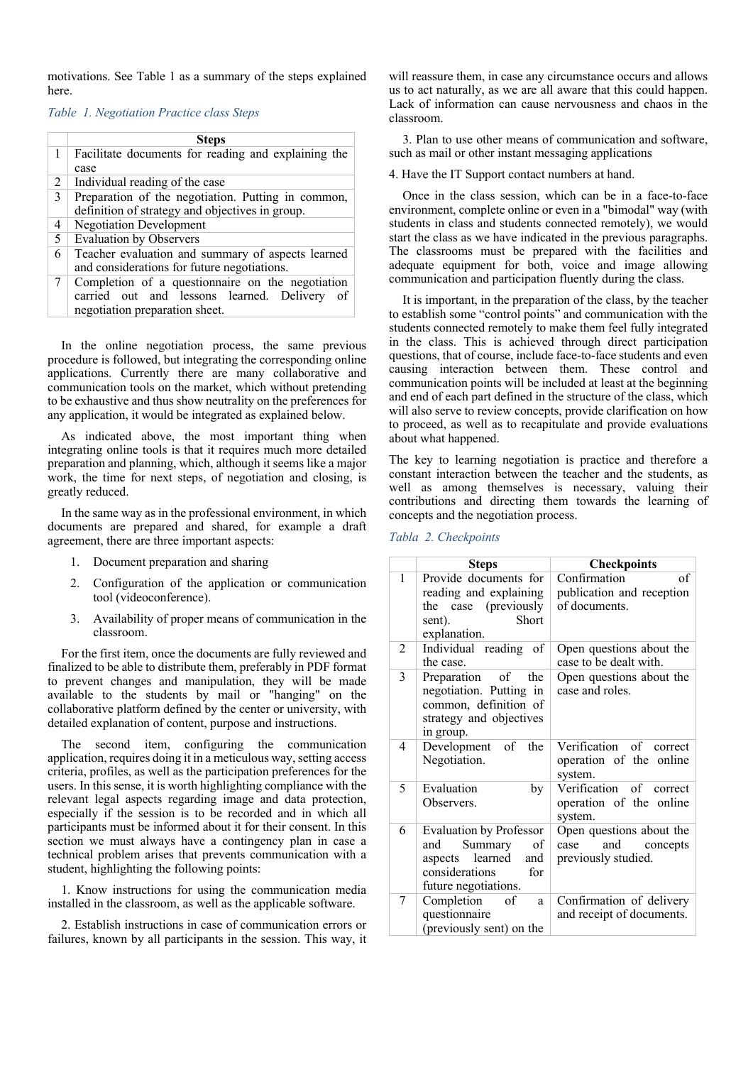motivations. See Table 1 as a summary of the steps explained here.

# *Table 1. Negotiation Practice class Steps*

|              | <b>Steps</b>                                        |
|--------------|-----------------------------------------------------|
| $\mathbf{1}$ | Facilitate documents for reading and explaining the |
|              | case                                                |
| 2            | Individual reading of the case                      |
| 3            | Preparation of the negotiation. Putting in common,  |
|              | definition of strategy and objectives in group.     |
| 4            | <b>Negotiation Development</b>                      |
| 5            | <b>Evaluation by Observers</b>                      |
| 6            | Teacher evaluation and summary of aspects learned   |
|              | and considerations for future negotiations.         |
| 7            | Completion of a questionnaire on the negotiation    |
|              | carried out and lessons learned. Delivery of        |
|              | negotiation preparation sheet.                      |

In the online negotiation process, the same previous procedure is followed, but integrating the corresponding online applications. Currently there are many collaborative and communication tools on the market, which without pretending to be exhaustive and thus show neutrality on the preferences for any application, it would be integrated as explained below.

As indicated above, the most important thing when integrating online tools is that it requires much more detailed preparation and planning, which, although it seems like a major work, the time for next steps, of negotiation and closing, is greatly reduced.

In the same way as in the professional environment, in which documents are prepared and shared, for example a draft agreement, there are three important aspects:

- 1. Document preparation and sharing
- 2. Configuration of the application or communication tool (videoconference).
- 3. Availability of proper means of communication in the classroom.

For the first item, once the documents are fully reviewed and finalized to be able to distribute them, preferably in PDF format to prevent changes and manipulation, they will be made available to the students by mail or "hanging" on the collaborative platform defined by the center or university, with detailed explanation of content, purpose and instructions.

The second item, configuring the communication application, requires doing it in a meticulous way, setting access criteria, profiles, as well as the participation preferences for the users. In this sense, it is worth highlighting compliance with the relevant legal aspects regarding image and data protection, especially if the session is to be recorded and in which all participants must be informed about it for their consent. In this section we must always have a contingency plan in case a technical problem arises that prevents communication with a student, highlighting the following points:

1. Know instructions for using the communication media installed in the classroom, as well as the applicable software.

2. Establish instructions in case of communication errors or failures, known by all participants in the session. This way, it will reassure them, in case any circumstance occurs and allows us to act naturally, as we are all aware that this could happen. Lack of information can cause nervousness and chaos in the classroom.

3. Plan to use other means of communication and software, such as mail or other instant messaging applications

# 4. Have the IT Support contact numbers at hand.

Once in the class session, which can be in a face-to-face environment, complete online or even in a "bimodal" way (with students in class and students connected remotely), we would start the class as we have indicated in the previous paragraphs. The classrooms must be prepared with the facilities and adequate equipment for both, voice and image allowing communication and participation fluently during the class.

It is important, in the preparation of the class, by the teacher to establish some "control points" and communication with the students connected remotely to make them feel fully integrated in the class. This is achieved through direct participation questions, that of course, include face-to-face students and even causing interaction between them. These control and communication points will be included at least at the beginning and end of each part defined in the structure of the class, which will also serve to review concepts, provide clarification on how to proceed, as well as to recapitulate and provide evaluations about what happened.

The key to learning negotiation is practice and therefore a constant interaction between the teacher and the students, as well as among themselves is necessary, valuing their contributions and directing them towards the learning of concepts and the negotiation process.

## *Tabla 2. Checkpoints*

|   | <b>Steps</b>                                                                                                                         | <b>Checkpoints</b>                                                         |
|---|--------------------------------------------------------------------------------------------------------------------------------------|----------------------------------------------------------------------------|
| 1 | Provide documents for<br>reading and explaining<br>the case (previously<br>Short<br>sent).<br>explanation.                           | Confirmation<br>of<br>publication and reception<br>of documents.           |
| 2 | Individual reading<br>of<br>the case.                                                                                                | Open questions about the<br>case to be dealt with.                         |
| 3 | Preparation<br>of the<br>negotiation. Putting in<br>common, definition of<br>strategy and objectives<br>in group.                    | Open questions about the<br>case and roles.                                |
| 4 | Development of<br>the<br>Negotiation.                                                                                                | Verification of correct<br>operation of the online<br>system.              |
| 5 | Evaluation<br>by<br>Observers.                                                                                                       | Verification of correct<br>operation of the online<br>system.              |
| 6 | <b>Evaluation by Professor</b><br>Summary<br>and<br>οf<br>learned<br>and<br>aspects<br>considerations<br>for<br>future negotiations. | Open questions about the<br>and<br>case<br>concepts<br>previously studied. |
| 7 | Completion<br>of<br>a<br>questionnaire<br>(previously sent) on the                                                                   | Confirmation of delivery<br>and receipt of documents.                      |